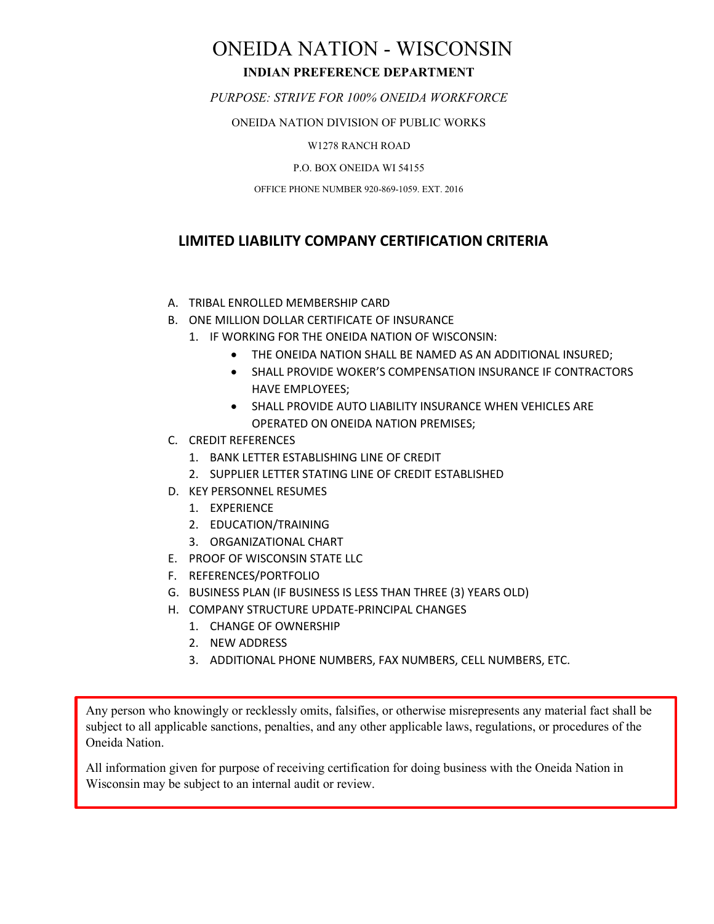## ONEIDA NATION - WISCONSIN **INDIAN PREFERENCE DEPARTMENT**

*PURPOSE: STRIVE FOR 100% ONEIDA WORKFORCE*

ONEIDA NATION DIVISION OF PUBLIC WORKS

W1278 RANCH ROAD

P.O. BOX ONEIDA WI 54155

OFFICE PHONE NUMBER 920-869-1059. EXT. 2016

### **LIMITED LIABILITY COMPANY CERTIFICATION CRITERIA**

- A. TRIBAL ENROLLED MEMBERSHIP CARD
- B. ONE MILLION DOLLAR CERTIFICATE OF INSURANCE
	- 1. IF WORKING FOR THE ONEIDA NATION OF WISCONSIN:
		- THE ONEIDA NATION SHALL BE NAMED AS AN ADDITIONAL INSURED;
		- SHALL PROVIDE WOKER'S COMPENSATION INSURANCE IF CONTRACTORS HAVE EMPLOYEES;
		- SHALL PROVIDE AUTO LIABILITY INSURANCE WHEN VEHICLES ARE OPERATED ON ONEIDA NATION PREMISES;
- C. CREDIT REFERENCES
	- 1. BANK LETTER ESTABLISHING LINE OF CREDIT
	- 2. SUPPLIER LETTER STATING LINE OF CREDIT ESTABLISHED
- D. KEY PERSONNEL RESUMES
	- 1. EXPERIENCE
	- 2. EDUCATION/TRAINING
	- 3. ORGANIZATIONAL CHART
- E. PROOF OF WISCONSIN STATE LLC
- F. REFERENCES/PORTFOLIO
- G. BUSINESS PLAN (IF BUSINESS IS LESS THAN THREE (3) YEARS OLD)
- H. COMPANY STRUCTURE UPDATE-PRINCIPAL CHANGES
	- 1. CHANGE OF OWNERSHIP
	- 2. NEW ADDRESS
	- 3. ADDITIONAL PHONE NUMBERS, FAX NUMBERS, CELL NUMBERS, ETC.

Any person who knowingly or recklessly omits, falsifies, or otherwise misrepresents any material fact shall be subject to all applicable sanctions, penalties, and any other applicable laws, regulations, or procedures of the Oneida Nation.

All information given for purpose of receiving certification for doing business with the Oneida Nation in Wisconsin may be subject to an internal audit or review.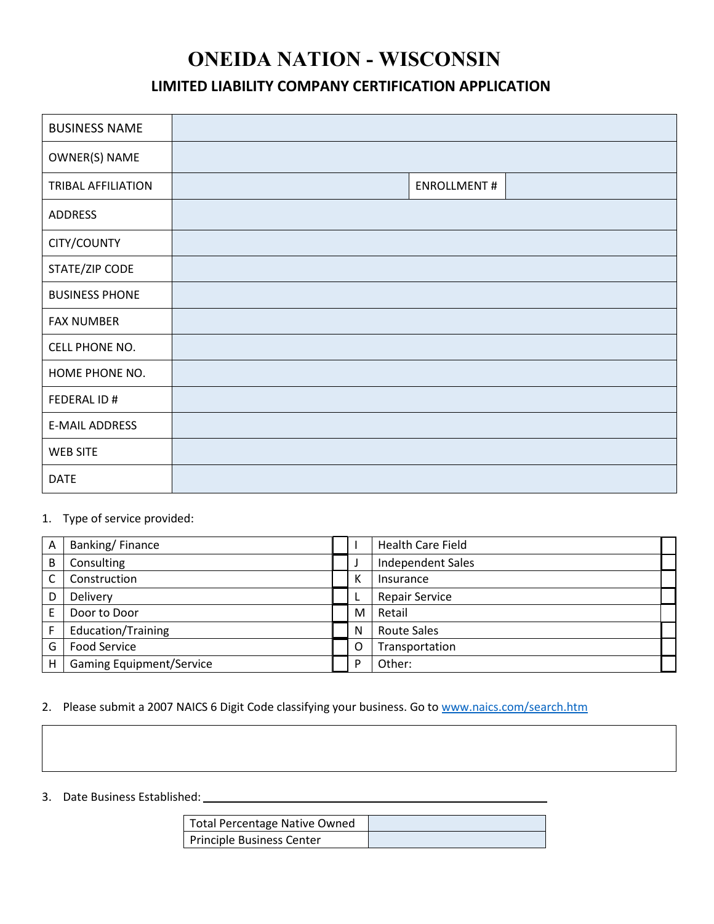# **ONEIDA NATION - WISCONSIN**

### **LIMITED LIABILITY COMPANY CERTIFICATION APPLICATION**

| <b>BUSINESS NAME</b>      |                    |
|---------------------------|--------------------|
| OWNER(S) NAME             |                    |
| <b>TRIBAL AFFILIATION</b> | <b>ENROLLMENT#</b> |
| ADDRESS                   |                    |
| CITY/COUNTY               |                    |
| STATE/ZIP CODE            |                    |
| <b>BUSINESS PHONE</b>     |                    |
| <b>FAX NUMBER</b>         |                    |
| CELL PHONE NO.            |                    |
| HOME PHONE NO.            |                    |
| FEDERAL ID #              |                    |
| <b>E-MAIL ADDRESS</b>     |                    |
| <b>WEB SITE</b>           |                    |
| <b>DATE</b>               |                    |

#### 1. Type of service provided:

| A | Banking/Finance                 |   | <b>Health Care Field</b> |
|---|---------------------------------|---|--------------------------|
| B | Consulting                      |   | <b>Independent Sales</b> |
| C | Construction                    | Κ | Insurance                |
| D | Delivery                        |   | <b>Repair Service</b>    |
|   | Door to Door                    | M | Retail                   |
|   | Education/Training              | N | <b>Route Sales</b>       |
| G | <b>Food Service</b>             |   | Transportation           |
| H | <b>Gaming Equipment/Service</b> | D | Other:                   |

### 2. Please submit a 2007 NAICS 6 Digit Code classifying your business. Go to www.naics.com/search.htm

### 3. Date Business Established:

| Total Percentage Native Owned |  |
|-------------------------------|--|
| Principle Business Center     |  |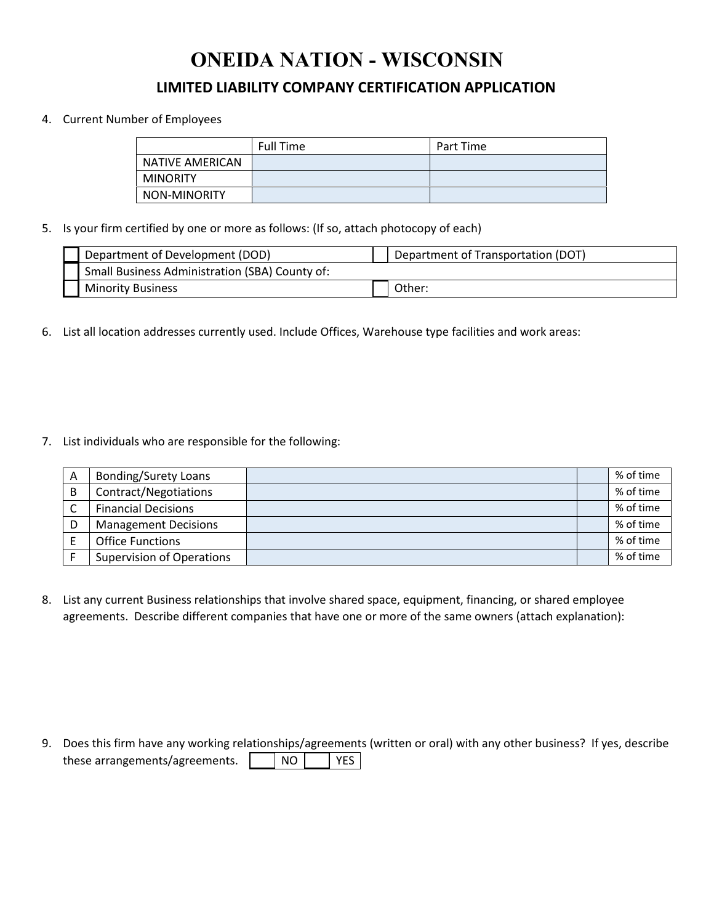# **ONEIDA NATION - WISCONSIN**

### **LIMITED LIABILITY COMPANY CERTIFICATION APPLICATION**

#### 4. Current Number of Employees

|                 | <b>Full Time</b> | Part Time |
|-----------------|------------------|-----------|
| NATIVE AMERICAN |                  |           |
| <b>MINORITY</b> |                  |           |
| NON-MINORITY    |                  |           |

5. Is your firm certified by one or more as follows: (If so, attach photocopy of each)

| Department of Development (DOD)                | Department of Transportation (DOT) |
|------------------------------------------------|------------------------------------|
| Small Business Administration (SBA) County of: |                                    |
| <b>Minority Business</b>                       | .Jther:                            |

6. List all location addresses currently used. Include Offices, Warehouse type facilities and work areas:

7. List individuals who are responsible for the following:

| Α | <b>Bonding/Surety Loans</b>      |  | % of time |
|---|----------------------------------|--|-----------|
| B | Contract/Negotiations            |  | % of time |
|   | <b>Financial Decisions</b>       |  | % of time |
| D | <b>Management Decisions</b>      |  | % of time |
|   | <b>Office Functions</b>          |  | % of time |
|   | <b>Supervision of Operations</b> |  | % of time |

8. List any current Business relationships that involve shared space, equipment, financing, or shared employee agreements. Describe different companies that have one or more of the same owners (attach explanation):

9. Does this firm have any working relationships/agreements (written or oral) with any other business? If yes, describe these arrangements/agreements. NO NO YES